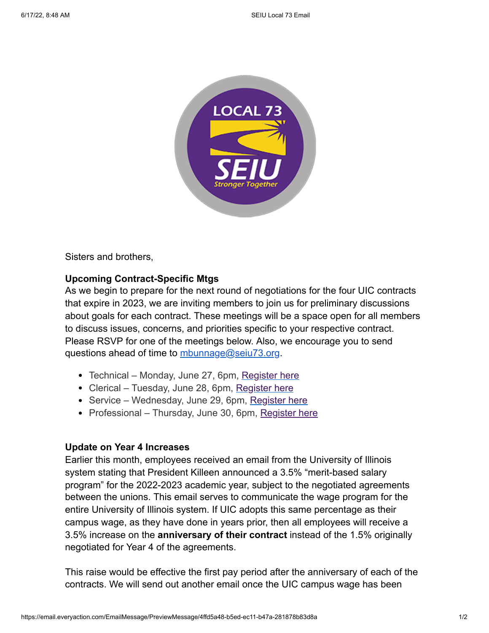

Sisters and brothers,

## **Upcoming Contract-Specific Mtgs**

As we begin to prepare for the next round of negotiations for the four UIC contracts that expire in 2023, we are inviting members to join us for preliminary discussions about goals for each contract. These meetings will be a space open for all members to discuss issues, concerns, and priorities specific to your respective contract. Please RSVP for one of the meetings below. Also, we encourage you to send questions ahead of time to [mbunnage@seiu73.org.](mailto:mbunnage@seiu73.org)

- Technical Monday, June 27, 6pm, [Register here](https://us02web.zoom.us/meeting/register/tZcqdu6sqz0vHtCMkxteMCGb2akYJ6fM9k-d?emci=50fd5a48-b5ed-ec11-b47a-281878b83d8a&emdi=ea000000-0000-0000-0000-000000000001&ceid={{ContactsEmailID}})
- Clerical Tuesday, June 28, 6pm, [Register here](https://us02web.zoom.us/meeting/register/tZApfuqprjMjHdQ5Rg0vHFpRWAP5-Nt3NPd2?emci=50fd5a48-b5ed-ec11-b47a-281878b83d8a&emdi=ea000000-0000-0000-0000-000000000001&ceid={{ContactsEmailID}})
- Service Wednesday, June 29, 6pm, [Register here](https://us02web.zoom.us/meeting/register/tZUvdeuuqzgsGtXZelvMQ12Jlo2tA7DpWojn?emci=50fd5a48-b5ed-ec11-b47a-281878b83d8a&emdi=ea000000-0000-0000-0000-000000000001&ceid={{ContactsEmailID}})
- Professional Thursday, June 30, 6pm, [Register here](https://us02web.zoom.us/meeting/register/tZMofuipqjwoH9ahnwq32k3O6erLVsEN6_ob?emci=50fd5a48-b5ed-ec11-b47a-281878b83d8a&emdi=ea000000-0000-0000-0000-000000000001&ceid={{ContactsEmailID}})

## **Update on Year 4 Increases**

Earlier this month, employees received an email from the University of Illinois system stating that President Killeen announced a 3.5% "merit-based salary program" for the 2022-2023 academic year, subject to the negotiated agreements between the unions. This email serves to communicate the wage program for the entire University of Illinois system. If UIC adopts this same percentage as their campus wage, as they have done in years prior, then all employees will receive a 3.5% increase on the **anniversary of their contract** instead of the 1.5% originally negotiated for Year 4 of the agreements.

This raise would be effective the first pay period after the anniversary of each of the contracts. We will send out another email once the UIC campus wage has been